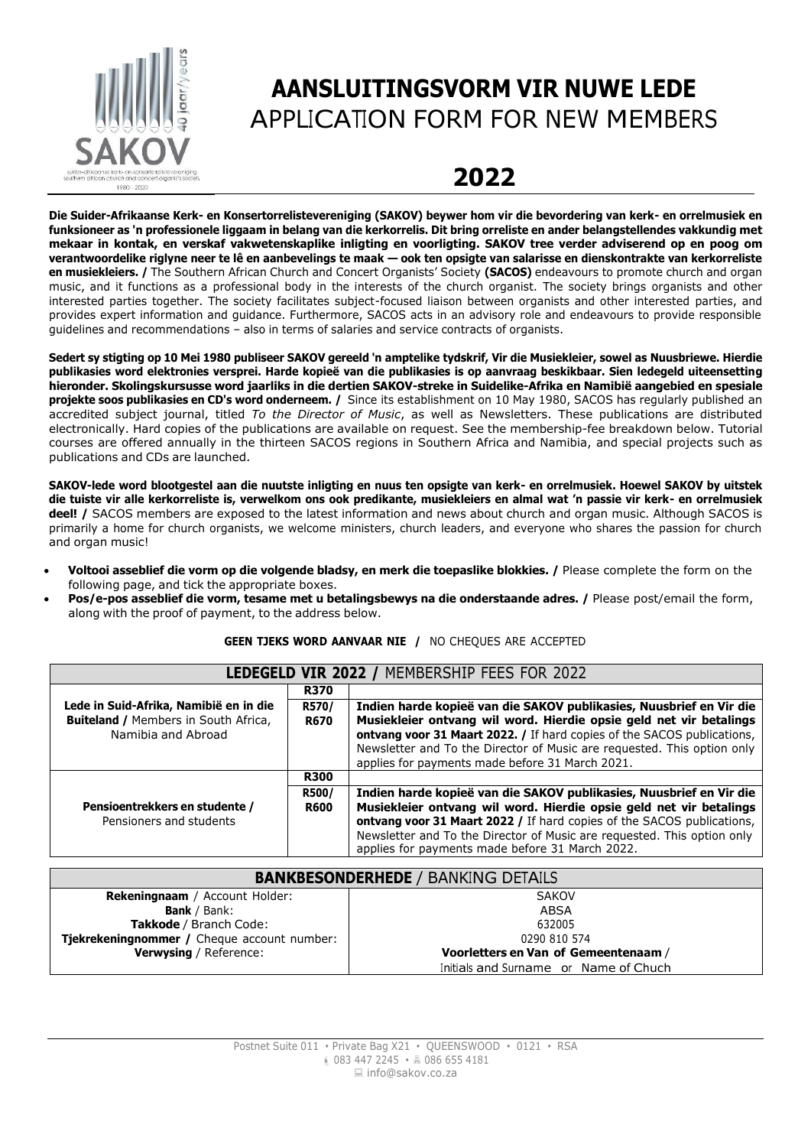

## **AANSLUITINGSVORM VIR NUWE LEDE** APPLICATION FORM FOR NEW MEMBERS

## **2022**

**Die Suider-Afrikaanse Kerk- en Konsertorrelistevereniging (SAKOV) beywer hom vir die bevordering van kerk- en orrelmusiek en funksioneer as 'n professionele liggaam in belang van die kerkorrelis. Dit bring orreliste en ander belangstellendes vakkundig met mekaar in kontak, en verskaf vakwetenskaplike inligting en voorligting. SAKOV tree verder adviserend op en poog om verantwoordelike riglyne neer te lê en aanbevelings te maak — ook ten opsigte van salarisse en dienskontrakte van kerkorreliste en musiekleiers. /** The Southern African Church and Concert Organists' Society **(SACOS)** endeavours to promote church and organ music, and it functions as a professional body in the interests of the church organist. The society brings organists and other interested parties together. The society facilitates subject-focused liaison between organists and other interested parties, and provides expert information and guidance. Furthermore, SACOS acts in an advisory role and endeavours to provide responsible guidelines and recommendations – also in terms of salaries and service contracts of organists.

Sedert sy stigting op 10 Mei 1980 publiseer SAKOV gereeld 'n amptelike tydskrif, Vir die Musiekleier, sowel as Nuusbriewe. Hierdie **publikasies word elektronies versprei. Harde kopieë van die publikasies is op aanvraag beskikbaar. Sien ledegeld uiteensetting hieronder. Skolingskursusse word jaarliks in die dertien SAKOV-streke in Suidelike-Afrika en Namibië aangebied en spesiale projekte soos publikasies en CD's word onderneem. /** Since its establishment on 10 May 1980, SACOS has regularly published an accredited subject journal, titled *To the Director of Music*, as well as Newsletters. These publications are distributed electronically. Hard copies of the publications are available on request. See the membership-fee breakdown below. Tutorial courses are offered annually in the thirteen SACOS regions in Southern Africa and Namibia, and special projects such as publications and CDs are launched.

**SAKOV-lede word blootgestel aan die nuutste inligting en nuus ten opsigte van kerk- en orrelmusiek. Hoewel SAKOV by uitstek die tuiste vir alle kerkorreliste is, verwelkom ons ook predikante, musiekleiers en almal wat 'n passie vir kerk- en orrelmusiek deel! /** SACOS members are exposed to the latest information and news about church and organ music. Although SACOS is primarily a home for church organists, we welcome ministers, church leaders, and everyone who shares the passion for church and organ music!

- **Voltooi asseblief die vorm op die volgende bladsy, en merk die toepaslike blokkies. /** Please complete the form on the following page, and tick the appropriate boxes.
- **Pos/e-pos asseblief die vorm, tesame met u betalingsbewys na die onderstaande adres. /** Please post/email the form, along with the proof of payment, to the address below.

| <b>GEEN TJEKS WORD AANVAAR NIE / NO CHEQUES ARE ACCEPTED</b> |  |  |
|--------------------------------------------------------------|--|--|
|--------------------------------------------------------------|--|--|

| LEDEGELD VIR 2022 / MEMBERSHIP FEES FOR 2022                                                                |                      |                                                                                                                                                                                                                                                                                                                                                    |  |  |  |
|-------------------------------------------------------------------------------------------------------------|----------------------|----------------------------------------------------------------------------------------------------------------------------------------------------------------------------------------------------------------------------------------------------------------------------------------------------------------------------------------------------|--|--|--|
|                                                                                                             | <b>R370</b>          |                                                                                                                                                                                                                                                                                                                                                    |  |  |  |
| Lede in Suid-Afrika, Namibië en in die<br><b>Buiteland / Members in South Africa,</b><br>Namibia and Abroad | R570/<br><b>R670</b> | Indien harde kopieë van die SAKOV publikasies, Nuusbrief en Vir die<br>Musiekleier ontvang wil word. Hierdie opsie geld net vir betalings<br>ontvang voor 31 Maart 2022. / If hard copies of the SACOS publications,<br>Newsletter and To the Director of Music are requested. This option only<br>applies for payments made before 31 March 2021. |  |  |  |
|                                                                                                             | <b>R300</b>          |                                                                                                                                                                                                                                                                                                                                                    |  |  |  |
|                                                                                                             | R500/                | Indien harde kopieë van die SAKOV publikasies, Nuusbrief en Vir die                                                                                                                                                                                                                                                                                |  |  |  |
| Pensioentrekkers en studente /<br>Pensioners and students                                                   | <b>R600</b>          | Musiekleier ontvang wil word. Hierdie opsie geld net vir betalings<br><b>ontvang voor 31 Maart 2022</b> / If hard copies of the SACOS publications,<br>Newsletter and To the Director of Music are requested. This option only                                                                                                                     |  |  |  |
|                                                                                                             |                      | applies for payments made before 31 March 2022.                                                                                                                                                                                                                                                                                                    |  |  |  |

| <b>BANKBESONDERHEDE / BANKING DETAILS</b>   |                                       |  |  |  |  |
|---------------------------------------------|---------------------------------------|--|--|--|--|
| <b>Rekeningnaam</b> / Account Holder:       | <b>SAKOV</b>                          |  |  |  |  |
| <b>Bank</b> / Bank:                         | ABSA                                  |  |  |  |  |
| Takkode / Branch Code:                      | 632005                                |  |  |  |  |
| Tjekrekeningnommer / Cheque account number: | 0290 810 574                          |  |  |  |  |
| <b>Verwysing / Reference:</b>               | Voorletters en Van of Gemeentenaam /  |  |  |  |  |
|                                             | Initials and Surname or Name of Chuch |  |  |  |  |